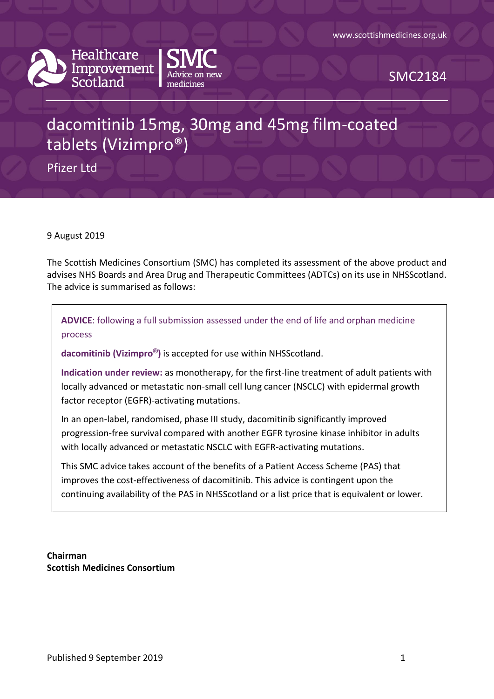



SMC2184

# dacomitinib 15mg, 30mg and 45mg film-coated tablets (Vizimpro®)

Pfizer Ltd

9 August 2019

The Scottish Medicines Consortium (SMC) has completed its assessment of the above product and advises NHS Boards and Area Drug and Therapeutic Committees (ADTCs) on its use in NHSScotland. The advice is summarised as follows:

**ADVICE**: following a full submission assessed under the end of life and orphan medicine process

**dacomitinib (Vizimpro®)** is accepted for use within NHSScotland.

**Indication under review:** as monotherapy, for the first-line treatment of adult patients with locally advanced or metastatic non-small cell lung cancer (NSCLC) with epidermal growth factor receptor (EGFR)-activating mutations.

In an open-label, randomised, phase III study, dacomitinib significantly improved progression-free survival compared with another EGFR tyrosine kinase inhibitor in adults with locally advanced or metastatic NSCLC with EGFR-activating mutations.

This SMC advice takes account of the benefits of a Patient Access Scheme (PAS) that improves the cost-effectiveness of dacomitinib. This advice is contingent upon the continuing availability of the PAS in NHSScotland or a list price that is equivalent or lower.

**Chairman Scottish Medicines Consortium**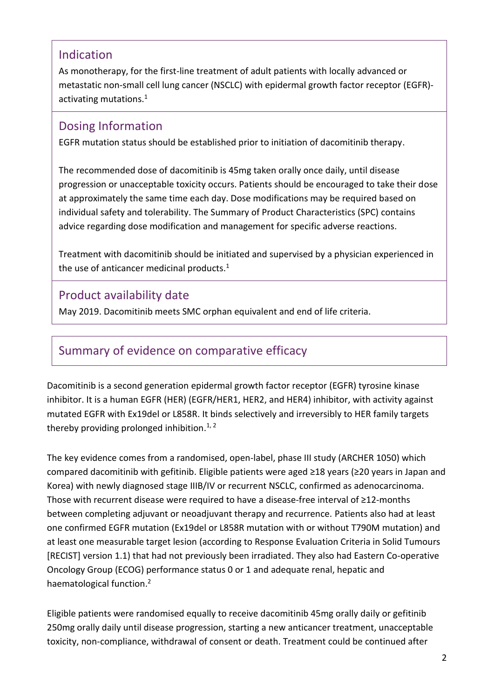### Indication

As monotherapy, for the first-line treatment of adult patients with locally advanced or metastatic non-small cell lung cancer (NSCLC) with epidermal growth factor receptor (EGFR) activating mutations. 1

### Dosing Information

EGFR mutation status should be established prior to initiation of dacomitinib therapy.

The recommended dose of dacomitinib is 45mg taken orally once daily, until disease progression or unacceptable toxicity occurs. Patients should be encouraged to take their dose at approximately the same time each day. Dose modifications may be required based on individual safety and tolerability. The Summary of Product Characteristics (SPC) contains advice regarding dose modification and management for specific adverse reactions.

Treatment with dacomitinib should be initiated and supervised by a physician experienced in the use of anticancer medicinal products.<sup>1</sup>

### Product availability date

May 2019. Dacomitinib meets SMC orphan equivalent and end of life criteria.

# Summary of evidence on comparative efficacy

Dacomitinib is a second generation epidermal growth factor receptor (EGFR) tyrosine kinase inhibitor. It is a human EGFR (HER) (EGFR/HER1, HER2, and HER4) inhibitor, with activity against mutated EGFR with Ex19del or L858R. It binds selectively and irreversibly to HER family targets thereby providing prolonged inhibition.<sup>1, 2</sup>

The key evidence comes from a randomised, open-label, phase III study (ARCHER 1050) which compared dacomitinib with gefitinib. Eligible patients were aged ≥18 years (≥20 years in Japan and Korea) with newly diagnosed stage IIIB/IV or recurrent NSCLC, confirmed as adenocarcinoma. Those with recurrent disease were required to have a disease-free interval of ≥12-months between completing adjuvant or neoadjuvant therapy and recurrence. Patients also had at least one confirmed EGFR mutation (Ex19del or L858R mutation with or without T790M mutation) and at least one measurable target lesion (according to Response Evaluation Criteria in Solid Tumours [RECIST] version 1.1) that had not previously been irradiated. They also had Eastern Co-operative Oncology Group (ECOG) performance status 0 or 1 and adequate renal, hepatic and haematological function. 2

Eligible patients were randomised equally to receive dacomitinib 45mg orally daily or gefitinib 250mg orally daily until disease progression, starting a new anticancer treatment, unacceptable toxicity, non-compliance, withdrawal of consent or death. Treatment could be continued after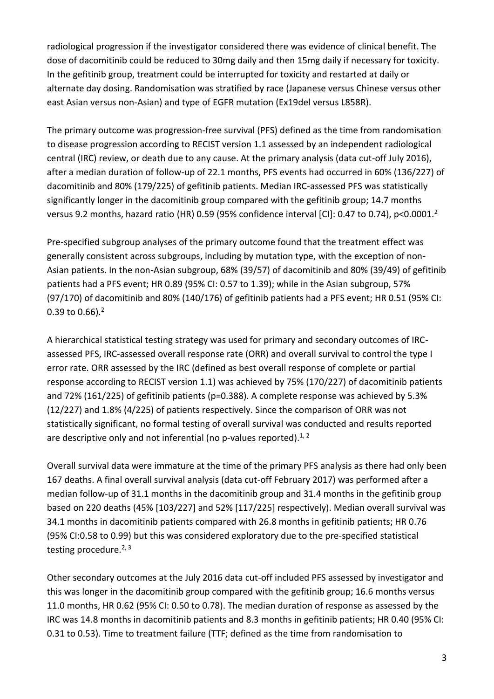radiological progression if the investigator considered there was evidence of clinical benefit. The dose of dacomitinib could be reduced to 30mg daily and then 15mg daily if necessary for toxicity. In the gefitinib group, treatment could be interrupted for toxicity and restarted at daily or alternate day dosing. Randomisation was stratified by race (Japanese versus Chinese versus other east Asian versus non-Asian) and type of EGFR mutation (Ex19del versus L858R).

The primary outcome was progression-free survival (PFS) defined as the time from randomisation to disease progression according to RECIST version 1.1 assessed by an independent radiological central (IRC) review, or death due to any cause. At the primary analysis (data cut-off July 2016), after a median duration of follow-up of 22.1 months, PFS events had occurred in 60% (136/227) of dacomitinib and 80% (179/225) of gefitinib patients. Median IRC-assessed PFS was statistically significantly longer in the dacomitinib group compared with the gefitinib group; 14.7 months versus 9.2 months, hazard ratio (HR) 0.59 (95% confidence interval [CI]: 0.47 to 0.74), p<0.0001.<sup>2</sup>

Pre-specified subgroup analyses of the primary outcome found that the treatment effect was generally consistent across subgroups, including by mutation type, with the exception of non-Asian patients. In the non-Asian subgroup, 68% (39/57) of dacomitinib and 80% (39/49) of gefitinib patients had a PFS event; HR 0.89 (95% CI: 0.57 to 1.39); while in the Asian subgroup, 57% (97/170) of dacomitinib and 80% (140/176) of gefitinib patients had a PFS event; HR 0.51 (95% CI: 0.39 to 0.66). $^{2}$ 

A hierarchical statistical testing strategy was used for primary and secondary outcomes of IRCassessed PFS, IRC-assessed overall response rate (ORR) and overall survival to control the type I error rate. ORR assessed by the IRC (defined as best overall response of complete or partial response according to RECIST version 1.1) was achieved by 75% (170/227) of dacomitinib patients and 72% (161/225) of gefitinib patients (p=0.388). A complete response was achieved by 5.3% (12/227) and 1.8% (4/225) of patients respectively. Since the comparison of ORR was not statistically significant, no formal testing of overall survival was conducted and results reported are descriptive only and not inferential (no p-values reported).<sup>1, 2</sup>

Overall survival data were immature at the time of the primary PFS analysis as there had only been 167 deaths. A final overall survival analysis (data cut-off February 2017) was performed after a median follow-up of 31.1 months in the dacomitinib group and 31.4 months in the gefitinib group based on 220 deaths (45% [103/227] and 52% [117/225] respectively). Median overall survival was 34.1 months in dacomitinib patients compared with 26.8 months in gefitinib patients; HR 0.76 (95% CI:0.58 to 0.99) but this was considered exploratory due to the pre-specified statistical testing procedure.<sup>2, 3</sup>

Other secondary outcomes at the July 2016 data cut-off included PFS assessed by investigator and this was longer in the dacomitinib group compared with the gefitinib group; 16.6 months versus 11.0 months, HR 0.62 (95% CI: 0.50 to 0.78). The median duration of response as assessed by the IRC was 14.8 months in dacomitinib patients and 8.3 months in gefitinib patients; HR 0.40 (95% CI: 0.31 to 0.53). Time to treatment failure (TTF; defined as the time from randomisation to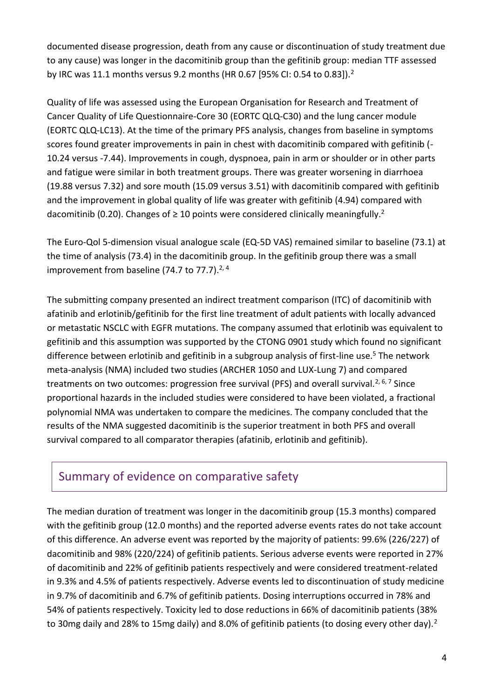documented disease progression, death from any cause or discontinuation of study treatment due to any cause) was longer in the dacomitinib group than the gefitinib group: median TTF assessed by IRC was 11.1 months versus 9.2 months (HR 0.67 [95% CI: 0.54 to 0.83]).<sup>2</sup>

Quality of life was assessed using the European Organisation for Research and Treatment of Cancer Quality of Life Questionnaire-Core 30 (EORTC QLQ-C30) and the lung cancer module (EORTC QLQ-LC13). At the time of the primary PFS analysis, changes from baseline in symptoms scores found greater improvements in pain in chest with dacomitinib compared with gefitinib (- 10.24 versus -7.44). Improvements in cough, dyspnoea, pain in arm or shoulder or in other parts and fatigue were similar in both treatment groups. There was greater worsening in diarrhoea (19.88 versus 7.32) and sore mouth (15.09 versus 3.51) with dacomitinib compared with gefitinib and the improvement in global quality of life was greater with gefitinib (4.94) compared with dacomitinib (0.20). Changes of  $\geq 10$  points were considered clinically meaningfully.<sup>2</sup>

The Euro-Qol 5-dimension visual analogue scale (EQ-5D VAS) remained similar to baseline (73.1) at the time of analysis (73.4) in the dacomitinib group. In the gefitinib group there was a small improvement from baseline (74.7 to 77.7). $2,4$ 

The submitting company presented an indirect treatment comparison (ITC) of dacomitinib with afatinib and erlotinib/gefitinib for the first line treatment of adult patients with locally advanced or metastatic NSCLC with EGFR mutations. The company assumed that erlotinib was equivalent to gefitinib and this assumption was supported by the CTONG 0901 study which found no significant difference between erlotinib and gefitinib in a subgroup analysis of first-line use.<sup>5</sup> The network meta-analysis (NMA) included two studies (ARCHER 1050 and LUX-Lung 7) and compared treatments on two outcomes: progression free survival (PFS) and overall survival.<sup>2, 6, 7</sup> Since proportional hazards in the included studies were considered to have been violated, a fractional polynomial NMA was undertaken to compare the medicines. The company concluded that the results of the NMA suggested dacomitinib is the superior treatment in both PFS and overall survival compared to all comparator therapies (afatinib, erlotinib and gefitinib).

### Summary of evidence on comparative safety

The median duration of treatment was longer in the dacomitinib group (15.3 months) compared with the gefitinib group (12.0 months) and the reported adverse events rates do not take account of this difference. An adverse event was reported by the majority of patients: 99.6% (226/227) of dacomitinib and 98% (220/224) of gefitinib patients. Serious adverse events were reported in 27% of dacomitinib and 22% of gefitinib patients respectively and were considered treatment-related in 9.3% and 4.5% of patients respectively. Adverse events led to discontinuation of study medicine in 9.7% of dacomitinib and 6.7% of gefitinib patients. Dosing interruptions occurred in 78% and 54% of patients respectively. Toxicity led to dose reductions in 66% of dacomitinib patients (38% to 30mg daily and 28% to 15mg daily) and 8.0% of gefitinib patients (to dosing every other day).<sup>2</sup>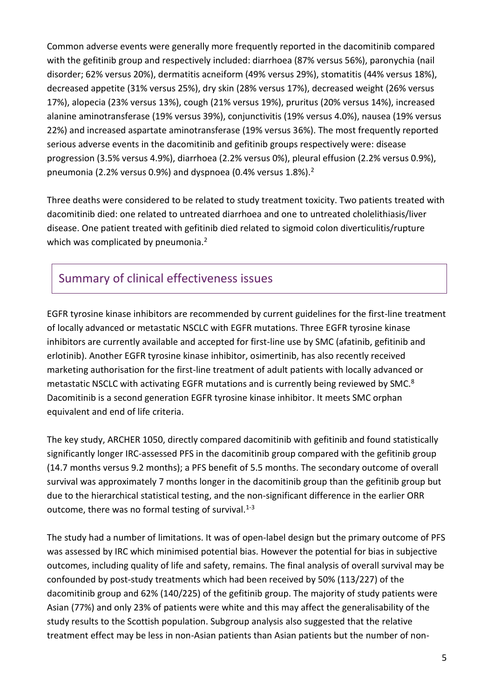Common adverse events were generally more frequently reported in the dacomitinib compared with the gefitinib group and respectively included: diarrhoea (87% versus 56%), paronychia (nail disorder; 62% versus 20%), dermatitis acneiform (49% versus 29%), stomatitis (44% versus 18%), decreased appetite (31% versus 25%), dry skin (28% versus 17%), decreased weight (26% versus 17%), alopecia (23% versus 13%), cough (21% versus 19%), pruritus (20% versus 14%), increased alanine aminotransferase (19% versus 39%), conjunctivitis (19% versus 4.0%), nausea (19% versus 22%) and increased aspartate aminotransferase (19% versus 36%). The most frequently reported serious adverse events in the dacomitinib and gefitinib groups respectively were: disease progression (3.5% versus 4.9%), diarrhoea (2.2% versus 0%), pleural effusion (2.2% versus 0.9%), pneumonia (2.2% versus 0.9%) and dyspnoea (0.4% versus 1.8%).<sup>2</sup>

Three deaths were considered to be related to study treatment toxicity. Two patients treated with dacomitinib died: one related to untreated diarrhoea and one to untreated cholelithiasis/liver disease. One patient treated with gefitinib died related to sigmoid colon diverticulitis/rupture which was complicated by pneumonia.<sup>2</sup>

# Summary of clinical effectiveness issues

EGFR tyrosine kinase inhibitors are recommended by current guidelines for the first-line treatment of locally advanced or metastatic NSCLC with EGFR mutations. Three EGFR tyrosine kinase inhibitors are currently available and accepted for first-line use by SMC (afatinib, gefitinib and erlotinib). Another EGFR tyrosine kinase inhibitor, osimertinib, has also recently received marketing authorisation for the first-line treatment of adult patients with locally advanced or metastatic NSCLC with activating EGFR mutations and is currently being reviewed by SMC.<sup>8</sup> Dacomitinib is a second generation EGFR tyrosine kinase inhibitor. It meets SMC orphan equivalent and end of life criteria.

The key study, ARCHER 1050, directly compared dacomitinib with gefitinib and found statistically significantly longer IRC-assessed PFS in the dacomitinib group compared with the gefitinib group (14.7 months versus 9.2 months); a PFS benefit of 5.5 months. The secondary outcome of overall survival was approximately 7 months longer in the dacomitinib group than the gefitinib group but due to the hierarchical statistical testing, and the non-significant difference in the earlier ORR outcome, there was no formal testing of survival. $1-3$ 

The study had a number of limitations. It was of open-label design but the primary outcome of PFS was assessed by IRC which minimised potential bias. However the potential for bias in subjective outcomes, including quality of life and safety, remains. The final analysis of overall survival may be confounded by post-study treatments which had been received by 50% (113/227) of the dacomitinib group and 62% (140/225) of the gefitinib group. The majority of study patients were Asian (77%) and only 23% of patients were white and this may affect the generalisability of the study results to the Scottish population. Subgroup analysis also suggested that the relative treatment effect may be less in non-Asian patients than Asian patients but the number of non-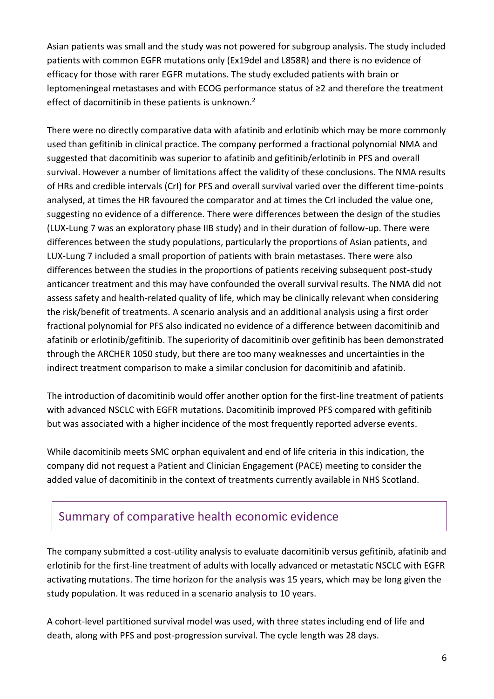Asian patients was small and the study was not powered for subgroup analysis. The study included patients with common EGFR mutations only (Ex19del and L858R) and there is no evidence of efficacy for those with rarer EGFR mutations. The study excluded patients with brain or leptomeningeal metastases and with ECOG performance status of ≥2 and therefore the treatment effect of dacomitinib in these patients is unknown.<sup>2</sup>

There were no directly comparative data with afatinib and erlotinib which may be more commonly used than gefitinib in clinical practice. The company performed a fractional polynomial NMA and suggested that dacomitinib was superior to afatinib and gefitinib/erlotinib in PFS and overall survival. However a number of limitations affect the validity of these conclusions. The NMA results of HRs and credible intervals (CrI) for PFS and overall survival varied over the different time-points analysed, at times the HR favoured the comparator and at times the CrI included the value one, suggesting no evidence of a difference. There were differences between the design of the studies (LUX-Lung 7 was an exploratory phase IIB study) and in their duration of follow-up. There were differences between the study populations, particularly the proportions of Asian patients, and LUX-Lung 7 included a small proportion of patients with brain metastases. There were also differences between the studies in the proportions of patients receiving subsequent post-study anticancer treatment and this may have confounded the overall survival results. The NMA did not assess safety and health-related quality of life, which may be clinically relevant when considering the risk/benefit of treatments. A scenario analysis and an additional analysis using a first order fractional polynomial for PFS also indicated no evidence of a difference between dacomitinib and afatinib or erlotinib/gefitinib. The superiority of dacomitinib over gefitinib has been demonstrated through the ARCHER 1050 study, but there are too many weaknesses and uncertainties in the indirect treatment comparison to make a similar conclusion for dacomitinib and afatinib.

The introduction of dacomitinib would offer another option for the first-line treatment of patients with advanced NSCLC with EGFR mutations. Dacomitinib improved PFS compared with gefitinib but was associated with a higher incidence of the most frequently reported adverse events.

While dacomitinib meets SMC orphan equivalent and end of life criteria in this indication, the company did not request a Patient and Clinician Engagement (PACE) meeting to consider the added value of dacomitinib in the context of treatments currently available in NHS Scotland.

### Summary of comparative health economic evidence

The company submitted a cost-utility analysis to evaluate dacomitinib versus gefitinib, afatinib and erlotinib for the first-line treatment of adults with locally advanced or metastatic NSCLC with EGFR activating mutations. The time horizon for the analysis was 15 years, which may be long given the study population. It was reduced in a scenario analysis to 10 years.

A cohort-level partitioned survival model was used, with three states including end of life and death, along with PFS and post-progression survival. The cycle length was 28 days.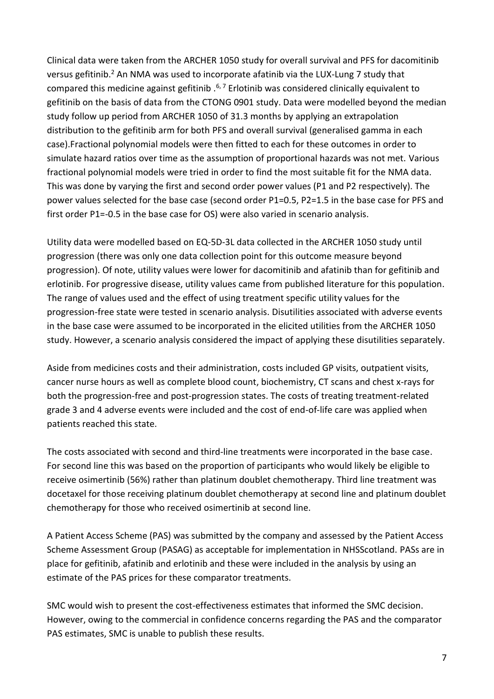Clinical data were taken from the ARCHER 1050 study for overall survival and PFS for dacomitinib versus gefitinib.<sup>2</sup> An NMA was used to incorporate afatinib via the LUX-Lung 7 study that compared this medicine against gefitinib  $.67$  Erlotinib was considered clinically equivalent to gefitinib on the basis of data from the CTONG 0901 study. Data were modelled beyond the median study follow up period from ARCHER 1050 of 31.3 months by applying an extrapolation distribution to the gefitinib arm for both PFS and overall survival (generalised gamma in each case).Fractional polynomial models were then fitted to each for these outcomes in order to simulate hazard ratios over time as the assumption of proportional hazards was not met. Various fractional polynomial models were tried in order to find the most suitable fit for the NMA data. This was done by varying the first and second order power values (P1 and P2 respectively). The power values selected for the base case (second order P1=0.5, P2=1.5 in the base case for PFS and first order P1=-0.5 in the base case for OS) were also varied in scenario analysis.

Utility data were modelled based on EQ-5D-3L data collected in the ARCHER 1050 study until progression (there was only one data collection point for this outcome measure beyond progression). Of note, utility values were lower for dacomitinib and afatinib than for gefitinib and erlotinib. For progressive disease, utility values came from published literature for this population. The range of values used and the effect of using treatment specific utility values for the progression-free state were tested in scenario analysis. Disutilities associated with adverse events in the base case were assumed to be incorporated in the elicited utilities from the ARCHER 1050 study. However, a scenario analysis considered the impact of applying these disutilities separately.

Aside from medicines costs and their administration, costs included GP visits, outpatient visits, cancer nurse hours as well as complete blood count, biochemistry, CT scans and chest x-rays for both the progression-free and post-progression states. The costs of treating treatment-related grade 3 and 4 adverse events were included and the cost of end-of-life care was applied when patients reached this state.

The costs associated with second and third-line treatments were incorporated in the base case. For second line this was based on the proportion of participants who would likely be eligible to receive osimertinib (56%) rather than platinum doublet chemotherapy. Third line treatment was docetaxel for those receiving platinum doublet chemotherapy at second line and platinum doublet chemotherapy for those who received osimertinib at second line.

A Patient Access Scheme (PAS) was submitted by the company and assessed by the Patient Access Scheme Assessment Group (PASAG) as acceptable for implementation in NHSScotland. PASs are in place for gefitinib, afatinib and erlotinib and these were included in the analysis by using an estimate of the PAS prices for these comparator treatments.

SMC would wish to present the cost-effectiveness estimates that informed the SMC decision. However, owing to the commercial in confidence concerns regarding the PAS and the comparator PAS estimates, SMC is unable to publish these results.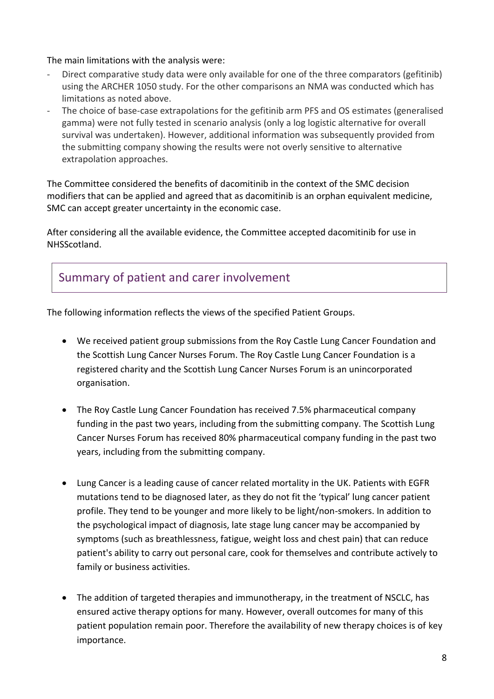#### The main limitations with the analysis were:

- Direct comparative study data were only available for one of the three comparators (gefitinib) using the ARCHER 1050 study. For the other comparisons an NMA was conducted which has limitations as noted above.
- The choice of base-case extrapolations for the gefitinib arm PFS and OS estimates (generalised gamma) were not fully tested in scenario analysis (only a log logistic alternative for overall survival was undertaken). However, additional information was subsequently provided from the submitting company showing the results were not overly sensitive to alternative extrapolation approaches.

The Committee considered the benefits of dacomitinib in the context of the SMC decision modifiers that can be applied and agreed that as dacomitinib is an orphan equivalent medicine, SMC can accept greater uncertainty in the economic case.

After considering all the available evidence, the Committee accepted dacomitinib for use in NHSScotland.

### Summary of patient and carer involvement

The following information reflects the views of the specified Patient Groups.

- We received patient group submissions from the Roy Castle Lung Cancer Foundation and the Scottish Lung Cancer Nurses Forum. The Roy Castle Lung Cancer Foundation is a registered charity and the Scottish Lung Cancer Nurses Forum is an unincorporated organisation.
- The Roy Castle Lung Cancer Foundation has received 7.5% pharmaceutical company funding in the past two years, including from the submitting company. The Scottish Lung Cancer Nurses Forum has received 80% pharmaceutical company funding in the past two years, including from the submitting company.
- Lung Cancer is a leading cause of cancer related mortality in the UK. Patients with EGFR mutations tend to be diagnosed later, as they do not fit the 'typical' lung cancer patient profile. They tend to be younger and more likely to be light/non-smokers. In addition to the psychological impact of diagnosis, late stage lung cancer may be accompanied by symptoms (such as breathlessness, fatigue, weight loss and chest pain) that can reduce patient's ability to carry out personal care, cook for themselves and contribute actively to family or business activities.
- The addition of targeted therapies and immunotherapy, in the treatment of NSCLC, has ensured active therapy options for many. However, overall outcomes for many of this patient population remain poor. Therefore the availability of new therapy choices is of key importance.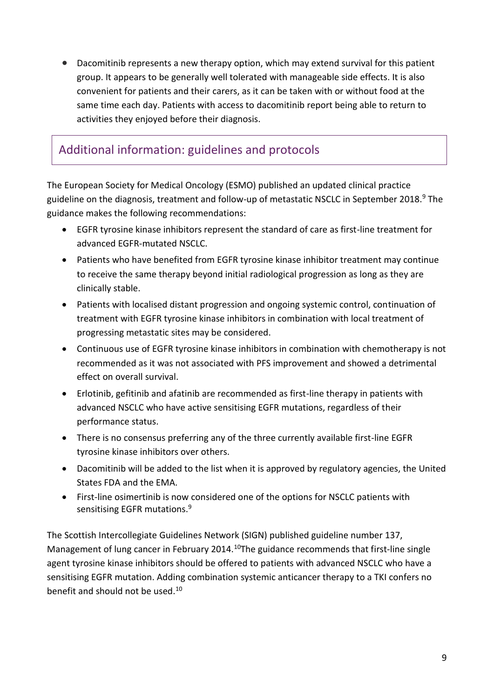Dacomitinib represents a new therapy option, which may extend survival for this patient group. It appears to be generally well tolerated with manageable side effects. It is also convenient for patients and their carers, as it can be taken with or without food at the same time each day. Patients with access to dacomitinib report being able to return to activities they enjoyed before their diagnosis.

# Additional information: guidelines and protocols

The European Society for Medical Oncology (ESMO) published an updated clinical practice guideline on the diagnosis, treatment and follow-up of metastatic NSCLC in September 2018.<sup>9</sup> The guidance makes the following recommendations:

- EGFR tyrosine kinase inhibitors represent the standard of care as first-line treatment for advanced EGFR-mutated NSCLC.
- Patients who have benefited from EGFR tyrosine kinase inhibitor treatment may continue to receive the same therapy beyond initial radiological progression as long as they are clinically stable.
- Patients with localised distant progression and ongoing systemic control, continuation of treatment with EGFR tyrosine kinase inhibitors in combination with local treatment of progressing metastatic sites may be considered.
- Continuous use of EGFR tyrosine kinase inhibitors in combination with chemotherapy is not recommended as it was not associated with PFS improvement and showed a detrimental effect on overall survival.
- Erlotinib, gefitinib and afatinib are recommended as first-line therapy in patients with advanced NSCLC who have active sensitising EGFR mutations, regardless of their performance status.
- There is no consensus preferring any of the three currently available first-line EGFR tyrosine kinase inhibitors over others.
- Dacomitinib will be added to the list when it is approved by regulatory agencies, the United States FDA and the EMA.
- First-line osimertinib is now considered one of the options for NSCLC patients with sensitising EGFR mutations.<sup>9</sup>

The Scottish Intercollegiate Guidelines Network (SIGN) published guideline number 137, Management of lung cancer in February 2014.<sup>10</sup>The guidance recommends that first-line single agent tyrosine kinase inhibitors should be offered to patients with advanced NSCLC who have a sensitising EGFR mutation. Adding combination systemic anticancer therapy to a TKI confers no benefit and should not be used.10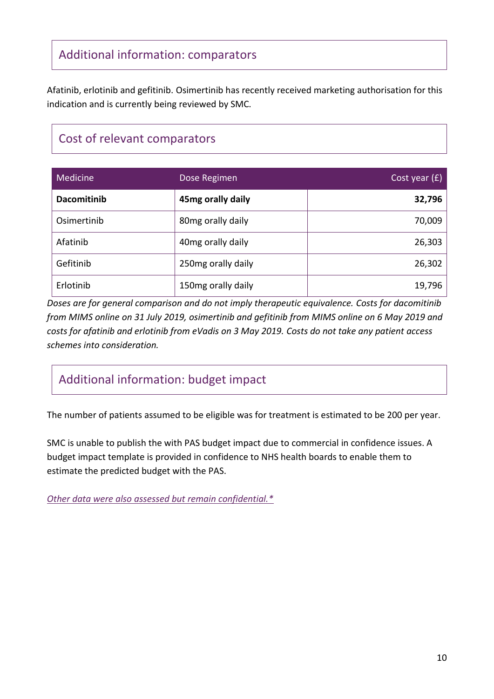# Additional information: comparators

Afatinib, erlotinib and gefitinib. Osimertinib has recently received marketing authorisation for this indication and is currently being reviewed by SMC.

# Cost of relevant comparators

| Medicine           | Dose Regimen       | Cost year $(f)$ |
|--------------------|--------------------|-----------------|
| <b>Dacomitinib</b> | 45mg orally daily  | 32,796          |
| Osimertinib        | 80mg orally daily  | 70,009          |
| Afatinib           | 40mg orally daily  | 26,303          |
| Gefitinib          | 250mg orally daily | 26,302          |
| Erlotinib          | 150mg orally daily | 19,796          |

*Doses are for general comparison and do not imply therapeutic equivalence. Costs for dacomitinib from MIMS online on 31 July 2019, osimertinib and gefitinib from MIMS online on 6 May 2019 and costs for afatinib and erlotinib from eVadis on 3 May 2019. Costs do not take any patient access schemes into consideration.*

# Additional information: budget impact

The number of patients assumed to be eligible was for treatment is estimated to be 200 per year.

SMC is unable to publish the with PAS budget impact due to commercial in confidence issues. A budget impact template is provided in confidence to NHS health boards to enable them to estimate the predicted budget with the PAS.

*[Other data were also assessed but remain confidential.\\*](https://www.scottishmedicines.org.uk/media/3572/20180710-release-of-company-data.pdf)*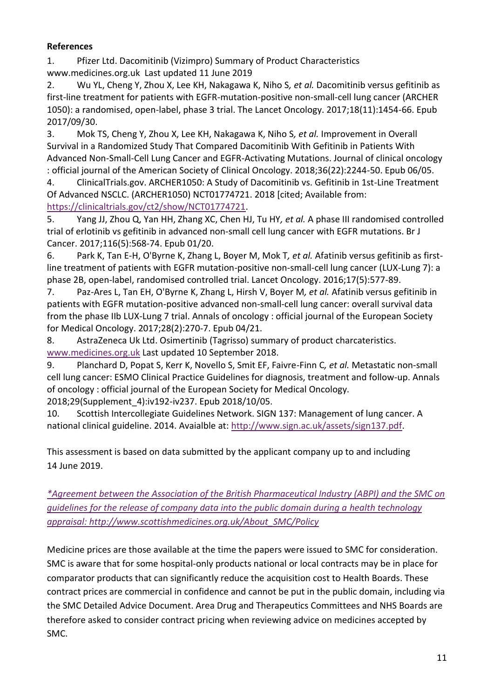#### **References**

1. Pfizer Ltd. Dacomitinib (Vizimpro) Summary of Product Characteristics www.medicines.org.uk Last updated 11 June 2019

2. Wu YL, Cheng Y, Zhou X, Lee KH, Nakagawa K, Niho S*, et al.* Dacomitinib versus gefitinib as first-line treatment for patients with EGFR-mutation-positive non-small-cell lung cancer (ARCHER 1050): a randomised, open-label, phase 3 trial. The Lancet Oncology. 2017;18(11):1454-66. Epub 2017/09/30.

3. Mok TS, Cheng Y, Zhou X, Lee KH, Nakagawa K, Niho S*, et al.* Improvement in Overall Survival in a Randomized Study That Compared Dacomitinib With Gefitinib in Patients With Advanced Non-Small-Cell Lung Cancer and EGFR-Activating Mutations. Journal of clinical oncology : official journal of the American Society of Clinical Oncology. 2018;36(22):2244-50. Epub 06/05.

4. ClinicalTrials.gov. ARCHER1050: A Study of Dacomitinib vs. Gefitinib in 1st-Line Treatment Of Advanced NSCLC. (ARCHER1050) NCT01774721. 2018 [cited; Available from: [https://clinicaltrials.gov/ct2/show/NCT01774721.](https://clinicaltrials.gov/ct2/show/NCT01774721)

5. Yang JJ, Zhou Q, Yan HH, Zhang XC, Chen HJ, Tu HY*, et al.* A phase III randomised controlled trial of erlotinib vs gefitinib in advanced non-small cell lung cancer with EGFR mutations. Br J Cancer. 2017;116(5):568-74. Epub 01/20.

6. Park K, Tan E-H, O'Byrne K, Zhang L, Boyer M, Mok T*, et al.* Afatinib versus gefitinib as firstline treatment of patients with EGFR mutation-positive non-small-cell lung cancer (LUX-Lung 7): a phase 2B, open-label, randomised controlled trial. Lancet Oncology. 2016;17(5):577-89.

7. Paz-Ares L, Tan EH, O'Byrne K, Zhang L, Hirsh V, Boyer M*, et al.* Afatinib versus gefitinib in patients with EGFR mutation-positive advanced non-small-cell lung cancer: overall survival data from the phase IIb LUX-Lung 7 trial. Annals of oncology : official journal of the European Society for Medical Oncology. 2017;28(2):270-7. Epub 04/21.

8. AstraZeneca Uk Ltd. Osimertinib (Tagrisso) summary of product charcateristics. [www.medicines.org.uk](file:///C:/Users/aileneb/AppData/Local/Microsoft/Windows/Temporary%20Internet%20Files/Content.Outlook/38IHU4FX/www.medicines.org.uk) Last updated 10 September 2018.

9. Planchard D, Popat S, Kerr K, Novello S, Smit EF, Faivre-Finn C*, et al.* Metastatic non-small cell lung cancer: ESMO Clinical Practice Guidelines for diagnosis, treatment and follow-up. Annals of oncology : official journal of the European Society for Medical Oncology. 2018;29(Supplement\_4):iv192-iv237. Epub 2018/10/05.

10. Scottish Intercollegiate Guidelines Network. SIGN 137: Management of lung cancer. A national clinical guideline. 2014. Avaialble at: [http://www.sign.ac.uk/assets/sign137.pdf.](http://www.sign.ac.uk/assets/sign137.pdf)

This assessment is based on data submitted by the applicant company up to and including 14 June 2019.

*[\\*Agreement between the Association of the British Pharmaceutical Industry \(ABPI\) and the SMC on](https://www.scottishmedicines.org.uk/media/3572/20180710-release-of-company-data.pdf)  [guidelines for the release of company data into the public domain during a health technology](https://www.scottishmedicines.org.uk/media/3572/20180710-release-of-company-data.pdf)  [appraisal: http://www.scottishmedicines.org.uk/About\\_SMC/Policy](https://www.scottishmedicines.org.uk/media/3572/20180710-release-of-company-data.pdf)*

Medicine prices are those available at the time the papers were issued to SMC for consideration. SMC is aware that for some hospital-only products national or local contracts may be in place for comparator products that can significantly reduce the acquisition cost to Health Boards. These contract prices are commercial in confidence and cannot be put in the public domain, including via the SMC Detailed Advice Document. Area Drug and Therapeutics Committees and NHS Boards are therefore asked to consider contract pricing when reviewing advice on medicines accepted by SMC.